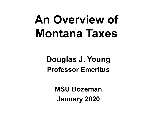# **An Overview of Montana Taxes**

#### **Douglas J. Young Professor Emeritus**

**MSU Bozeman January 2020**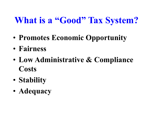## **What is a "Good" Tax System?**

- **Promotes Economic Opportunity**
- **Fairness**
- **Low Administrative & Compliance Costs**
- **Stability**
- **Adequacy**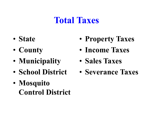#### **Total Taxes**

- **State**
- **County**
- **Municipality**
- **School District**
- **Mosquito Control District**
- **Property Taxes**
- **Income Taxes**
- **Sales Taxes**
- **Severance Taxes**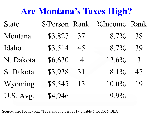## **Are Montana's Taxes High?**

| <b>State</b> |         |                | \$/Person Rank %Income Rank |                |
|--------------|---------|----------------|-----------------------------|----------------|
| Montana      | \$3,827 | 37             | $8.7\%$                     | 38             |
| Idaho        | \$3,514 | 45             | $8.7\%$                     | 39             |
| N. Dakota    | \$6,630 | $\overline{4}$ | $12.6\%$                    | $\overline{3}$ |
| S. Dakota    | \$3,938 | 31             | $8.1\%$                     | 47             |
| Wyoming      | \$5,545 | 13             | $10.0\%$                    | 19             |
| U.S. Avg.    | \$4,946 |                | 9.9%                        |                |

Source: Tax Foundation, "Facts and Figures, 2019", Table 6 for 2016, BEA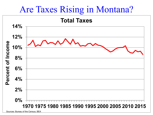#### Are Taxes Rising in Montana?



Sources: Bureau of the Census, BEA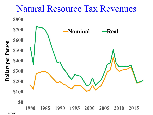

MDoR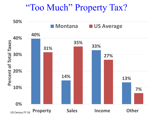#### "Too Much" Property Tax?

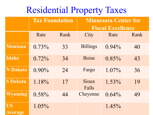#### Residential Property Taxes

|                             | <b>Tax Foundation</b> |      | <b>Minnesota Center for</b><br><b>Fiscal Excellence</b> |          |      |
|-----------------------------|-----------------------|------|---------------------------------------------------------|----------|------|
|                             | Rate                  | Rank | City                                                    | Rate     | Rank |
| <b>Montana</b>              | $0.73\%$              | 33   | <b>Billings</b>                                         | $0.94\%$ | 40   |
| <b>Idaho</b>                | $0.72\%$              | 34   | <b>Boise</b>                                            | $0.85\%$ | 43   |
| <b>N</b> Dakota             | $0.90\%$              | 24   | Fargo                                                   | $1.07\%$ | 36   |
| <b>S Dakota</b>             | 1.18%                 | 17   | Sioux<br>Falls                                          | $1.53\%$ | 19   |
| <b>Wyoming</b>              | $0.58\%$              | 44   | Cheyenne                                                | $0.64\%$ | 49   |
| <b>US</b><br><b>Average</b> | $1.05\%$              |      |                                                         | $1.45\%$ |      |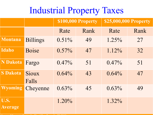#### Industrial Property Taxes

|                        |                       | \$100,000 Property |      | \$25,000,000 Property |      |
|------------------------|-----------------------|--------------------|------|-----------------------|------|
|                        |                       | Rate               | Rank | Rate                  | Rank |
| <b>Montana</b>         | <b>Billings</b>       | $0.51\%$           | 49   | $1.25\%$              | 27   |
| <b>Idaho</b>           | <b>Boise</b>          | $0.57\%$           | 47   | $1.12\%$              | 32   |
| <b>N</b> Dakota        | Fargo                 | $0.47\%$           | 51   | $0.47\%$              | 51   |
| <b>S Dakota</b>        | <b>Sioux</b><br>Falls | $0.64\%$           | 43   | $0.64\%$              | 47   |
| <b>Wyoming</b>         | Cheyenne              | $0.63\%$           | 45   | $0.63\%$              | 49   |
| U.S.<br><b>Average</b> |                       | $1.20\%$           |      | 1.32%                 |      |

S MI T T T T FI LI F FI LI FI LI FI LI FI LI FI LI FI LI FI LI FI LI FI LI FI LI FI LI FI LI FI LI FI LI FI LI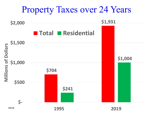

MDoR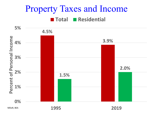#### Property Taxes and Income **Total Residential**



**1995 2019**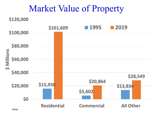#### Market Value of Property

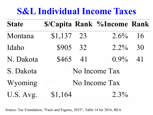## **S&L Individual Income Taxes**

| <b>State</b> |               |  | <b>\$/Capita Rank %Income Rank</b> |    |  |  |
|--------------|---------------|--|------------------------------------|----|--|--|
| Montana      | $$1,137$ 23   |  | $2.6\% - 16$                       |    |  |  |
| Idaho        | \$905 32      |  | $2.2\%$                            | 30 |  |  |
| N. Dakota    | \$465 41      |  | $0.9\%$ 41                         |    |  |  |
| S. Dakota    | No Income Tax |  |                                    |    |  |  |
| Wyoming      | No Income Tax |  |                                    |    |  |  |
| U.S. Avg.    | \$1,164       |  | $2.3\%$                            |    |  |  |

Source: Tax Foundation, "Facts and Figures, 2019", Table 14 for 2016, BEA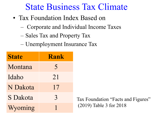#### State Business Tax Climate

- Tax Foundation Index Based on
	- Corporate and Individual Income Taxes
	- Sales Tax and Property Tax
	- Unemployment Insurance Tax

| <b>State</b>    | <b>Rank</b>   |
|-----------------|---------------|
| Montana         | 5             |
| Idaho           | 21            |
| N Dakota        | 17            |
| <b>S</b> Dakota | $\mathcal{E}$ |
| Wyoming         |               |

Tax Foundation "Facts and Figures" (2019) Table 3 for 2018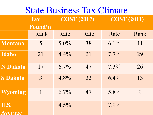### State Business Tax Climate

|                        | <b>Tax</b><br>Found'n | <b>COST (2017)</b> |      | <b>COST (2011)</b> |      |
|------------------------|-----------------------|--------------------|------|--------------------|------|
|                        | Rank                  | Rate               | Rate | Rate               | Rank |
| <b>Montana</b>         | 5                     | $5.0\%$            | 38   | $6.1\%$            | 11   |
| Idaho                  | 21                    | $4.4\%$            | 21   | $7.7\%$            | 29   |
| <b>N</b> Dakota        | 17                    | $6.7\%$            | 47   | $7.3\%$            | 26   |
| <b>S Dakota</b>        | $\overline{3}$        | 4.8%               | 33   | $6.4\%$            | 13   |
| <b>Wyoming</b>         | $\mathbf{1}$          | $6.7\%$            | 47   | 5.8%               | 9    |
| U.S.<br><b>Average</b> |                       | $4.5\%$            |      | $7.9\%$            |      |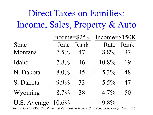## Direct Taxes on Families: Income, Sales, Property & Auto

|              | Income= $$25K$ |      | Income=\$150K |      |
|--------------|----------------|------|---------------|------|
| <b>State</b> | Rate           | Rank | Rate          | Rank |
| Montana      | $7.5\%$        | 47   | 8.8%          | 37   |
| Idaho        | $7.8\%$        | 46   | 10.8%         | 19   |
| N. Dakota    | $8.0\%$        | 45   | $5.3\%$       | 48   |
| S. Dakota    | $9.9\%$        | 33   | $5.5\%$       | 47   |
| Wyoming      | $8.7\%$        | 38   | $4.7\%$       | 50   |
| U.S. Average | $10.6\%$       |      | 9.8%          |      |

Source: Gov't of DC, *Tax Rates and Tax Burdens in the DC: A Nationwide Comparison*, 2017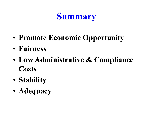## **Summary**

- **Promote Economic Opportunity**
- **Fairness**
- **Low Administrative & Compliance Costs**
- **Stability**
- **Adequacy**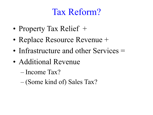#### Tax Reform?

- Property Tax Relief +
- Replace Resource Revenue +
- Infrastructure and other Services =
- Additional Revenue
	- Income Tax?
	- (Some kind of) Sales Tax?